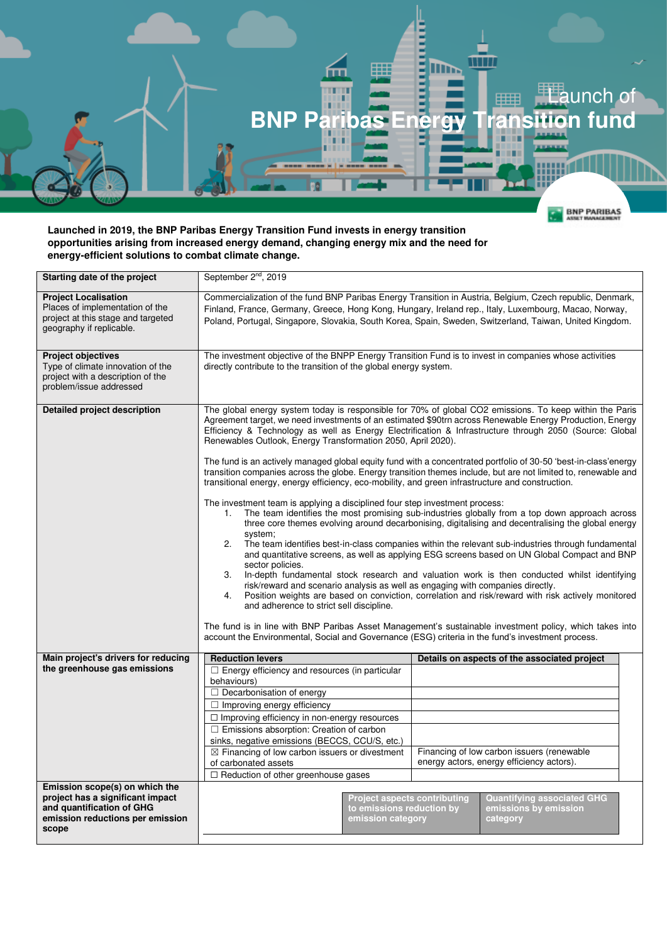

## **Launched in 2019, the BNP Paribas Energy Transition Fund invests in energy transition opportunities arising from increased energy demand, changing energy mix and the need for energy-efficient solutions to combat climate change.**

| Starting date of the project                                                                                                     | September 2 <sup>nd</sup> , 2019                                                                                                                                                                                                                                                                                                                                                                                                                                                                                                                                                                                                                                                                                                                                                                                                                                                                                                                                                                           |                                                                                                                                                                 |                                            |                                              |  |
|----------------------------------------------------------------------------------------------------------------------------------|------------------------------------------------------------------------------------------------------------------------------------------------------------------------------------------------------------------------------------------------------------------------------------------------------------------------------------------------------------------------------------------------------------------------------------------------------------------------------------------------------------------------------------------------------------------------------------------------------------------------------------------------------------------------------------------------------------------------------------------------------------------------------------------------------------------------------------------------------------------------------------------------------------------------------------------------------------------------------------------------------------|-----------------------------------------------------------------------------------------------------------------------------------------------------------------|--------------------------------------------|----------------------------------------------|--|
| <b>Project Localisation</b><br>Places of implementation of the<br>project at this stage and targeted<br>geography if replicable. | Commercialization of the fund BNP Paribas Energy Transition in Austria, Belgium, Czech republic, Denmark,<br>Finland, France, Germany, Greece, Hong Kong, Hungary, Ireland rep., Italy, Luxembourg, Macao, Norway,<br>Poland, Portugal, Singapore, Slovakia, South Korea, Spain, Sweden, Switzerland, Taiwan, United Kingdom.                                                                                                                                                                                                                                                                                                                                                                                                                                                                                                                                                                                                                                                                              |                                                                                                                                                                 |                                            |                                              |  |
| <b>Project objectives</b><br>Type of climate innovation of the<br>project with a description of the<br>problem/issue addressed   | The investment objective of the BNPP Energy Transition Fund is to invest in companies whose activities<br>directly contribute to the transition of the global energy system.                                                                                                                                                                                                                                                                                                                                                                                                                                                                                                                                                                                                                                                                                                                                                                                                                               |                                                                                                                                                                 |                                            |                                              |  |
| <b>Detailed project description</b>                                                                                              | The global energy system today is responsible for 70% of global CO2 emissions. To keep within the Paris<br>Agreement target, we need investments of an estimated \$90trn across Renewable Energy Production, Energy<br>Efficiency & Technology as well as Energy Electrification & Infrastructure through 2050 (Source: Global<br>Renewables Outlook, Energy Transformation 2050, April 2020).                                                                                                                                                                                                                                                                                                                                                                                                                                                                                                                                                                                                             |                                                                                                                                                                 |                                            |                                              |  |
|                                                                                                                                  | The fund is an actively managed global equity fund with a concentrated portfolio of 30-50 'best-in-class'energy<br>transition companies across the globe. Energy transition themes include, but are not limited to, renewable and<br>transitional energy, energy efficiency, eco-mobility, and green infrastructure and construction.                                                                                                                                                                                                                                                                                                                                                                                                                                                                                                                                                                                                                                                                      |                                                                                                                                                                 |                                            |                                              |  |
|                                                                                                                                  | The investment team is applying a disciplined four step investment process:<br>The team identifies the most promising sub-industries globally from a top down approach across<br>$\mathbf{1}$ .<br>three core themes evolving around decarbonising, digitalising and decentralising the global energy<br>svstem:<br>2.<br>The team identifies best-in-class companies within the relevant sub-industries through fundamental<br>and quantitative screens, as well as applying ESG screens based on UN Global Compact and BNP<br>sector policies.<br>3.<br>In-depth fundamental stock research and valuation work is then conducted whilst identifying<br>risk/reward and scenario analysis as well as engaging with companies directly.<br>Position weights are based on conviction, correlation and risk/reward with risk actively monitored<br>4.<br>and adherence to strict sell discipline.<br>The fund is in line with BNP Paribas Asset Management's sustainable investment policy, which takes into |                                                                                                                                                                 |                                            |                                              |  |
|                                                                                                                                  | account the Environmental, Social and Governance (ESG) criteria in the fund's investment process.                                                                                                                                                                                                                                                                                                                                                                                                                                                                                                                                                                                                                                                                                                                                                                                                                                                                                                          |                                                                                                                                                                 |                                            |                                              |  |
| Main project's drivers for reducing<br>the greenhouse gas emissions                                                              | <b>Reduction levers</b><br>$\Box$ Energy efficiency and resources (in particular                                                                                                                                                                                                                                                                                                                                                                                                                                                                                                                                                                                                                                                                                                                                                                                                                                                                                                                           |                                                                                                                                                                 |                                            | Details on aspects of the associated project |  |
|                                                                                                                                  | behaviours)                                                                                                                                                                                                                                                                                                                                                                                                                                                                                                                                                                                                                                                                                                                                                                                                                                                                                                                                                                                                |                                                                                                                                                                 |                                            |                                              |  |
|                                                                                                                                  | $\Box$ Decarbonisation of energy                                                                                                                                                                                                                                                                                                                                                                                                                                                                                                                                                                                                                                                                                                                                                                                                                                                                                                                                                                           |                                                                                                                                                                 |                                            |                                              |  |
|                                                                                                                                  | $\Box$ Improving energy efficiency<br>□ Improving efficiency in non-energy resources                                                                                                                                                                                                                                                                                                                                                                                                                                                                                                                                                                                                                                                                                                                                                                                                                                                                                                                       |                                                                                                                                                                 |                                            |                                              |  |
|                                                                                                                                  | $\Box$ Emissions absorption: Creation of carbon                                                                                                                                                                                                                                                                                                                                                                                                                                                                                                                                                                                                                                                                                                                                                                                                                                                                                                                                                            |                                                                                                                                                                 |                                            |                                              |  |
|                                                                                                                                  |                                                                                                                                                                                                                                                                                                                                                                                                                                                                                                                                                                                                                                                                                                                                                                                                                                                                                                                                                                                                            | sinks, negative emissions (BECCS, CCU/S, etc.)                                                                                                                  |                                            |                                              |  |
|                                                                                                                                  | $\boxtimes$ Financing of low carbon issuers or divestment                                                                                                                                                                                                                                                                                                                                                                                                                                                                                                                                                                                                                                                                                                                                                                                                                                                                                                                                                  |                                                                                                                                                                 | Financing of low carbon issuers (renewable |                                              |  |
|                                                                                                                                  | of carbonated assets<br>□ Reduction of other greenhouse gases                                                                                                                                                                                                                                                                                                                                                                                                                                                                                                                                                                                                                                                                                                                                                                                                                                                                                                                                              |                                                                                                                                                                 | energy actors, energy efficiency actors).  |                                              |  |
| Emission scope(s) on which the                                                                                                   |                                                                                                                                                                                                                                                                                                                                                                                                                                                                                                                                                                                                                                                                                                                                                                                                                                                                                                                                                                                                            |                                                                                                                                                                 |                                            |                                              |  |
| project has a significant impact<br>and quantification of GHG<br>emission reductions per emission<br>scope                       |                                                                                                                                                                                                                                                                                                                                                                                                                                                                                                                                                                                                                                                                                                                                                                                                                                                                                                                                                                                                            | <b>Quantifying associated GHG</b><br><b>Project aspects contributing</b><br>to emissions reduction by<br>emissions by emission<br>emission category<br>category |                                            |                                              |  |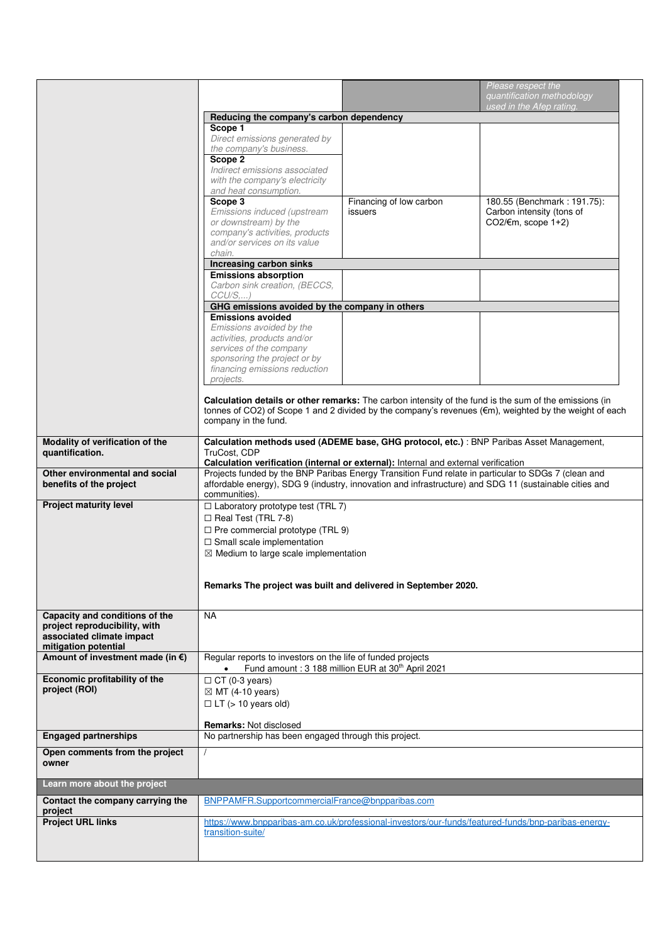|                                                            |                                                                                                     |                                                                                                                                                                                                               | Please respect the<br>quantification methodology                                                       |  |  |
|------------------------------------------------------------|-----------------------------------------------------------------------------------------------------|---------------------------------------------------------------------------------------------------------------------------------------------------------------------------------------------------------------|--------------------------------------------------------------------------------------------------------|--|--|
|                                                            |                                                                                                     |                                                                                                                                                                                                               | used in the Afep rating.                                                                               |  |  |
|                                                            | Reducing the company's carbon dependency                                                            |                                                                                                                                                                                                               |                                                                                                        |  |  |
|                                                            | Scope 1<br>Direct emissions generated by                                                            |                                                                                                                                                                                                               |                                                                                                        |  |  |
|                                                            | the company's business.<br>Scope 2                                                                  |                                                                                                                                                                                                               |                                                                                                        |  |  |
|                                                            | Indirect emissions associated<br>with the company's electricity                                     |                                                                                                                                                                                                               |                                                                                                        |  |  |
|                                                            | and heat consumption.                                                                               |                                                                                                                                                                                                               |                                                                                                        |  |  |
|                                                            | Scope 3<br>Emissions induced (upstream                                                              | Financing of low carbon<br>issuers                                                                                                                                                                            | 180.55 (Benchmark: 191.75):<br>Carbon intensity (tons of                                               |  |  |
|                                                            | or downstream) by the                                                                               |                                                                                                                                                                                                               | CO2/ $\notin$ m, scope 1+2)                                                                            |  |  |
|                                                            | company's activities, products<br>and/or services on its value                                      |                                                                                                                                                                                                               |                                                                                                        |  |  |
|                                                            | chain.<br>Increasing carbon sinks                                                                   |                                                                                                                                                                                                               |                                                                                                        |  |  |
|                                                            | <b>Emissions absorption</b>                                                                         |                                                                                                                                                                                                               |                                                                                                        |  |  |
|                                                            | Carbon sink creation, (BECCS,<br>$CCU/S$                                                            |                                                                                                                                                                                                               |                                                                                                        |  |  |
|                                                            | GHG emissions avoided by the company in others                                                      |                                                                                                                                                                                                               |                                                                                                        |  |  |
|                                                            | <b>Emissions avoided</b><br>Emissions avoided by the                                                |                                                                                                                                                                                                               |                                                                                                        |  |  |
|                                                            | activities, products and/or                                                                         |                                                                                                                                                                                                               |                                                                                                        |  |  |
|                                                            | services of the company                                                                             |                                                                                                                                                                                                               |                                                                                                        |  |  |
|                                                            | sponsoring the project or by<br>financing emissions reduction                                       |                                                                                                                                                                                                               |                                                                                                        |  |  |
|                                                            | projects.                                                                                           |                                                                                                                                                                                                               |                                                                                                        |  |  |
|                                                            |                                                                                                     | Calculation details or other remarks: The carbon intensity of the fund is the sum of the emissions (in                                                                                                        |                                                                                                        |  |  |
|                                                            |                                                                                                     |                                                                                                                                                                                                               | tonnes of CO2) of Scope 1 and 2 divided by the company's revenues (€m), weighted by the weight of each |  |  |
|                                                            | company in the fund.                                                                                |                                                                                                                                                                                                               |                                                                                                        |  |  |
| Modality of verification of the                            |                                                                                                     | Calculation methods used (ADEME base, GHG protocol, etc.) : BNP Paribas Asset Management,                                                                                                                     |                                                                                                        |  |  |
| quantification.                                            | TruCost, CDP<br>Calculation verification (internal or external): Internal and external verification |                                                                                                                                                                                                               |                                                                                                        |  |  |
|                                                            |                                                                                                     |                                                                                                                                                                                                               |                                                                                                        |  |  |
|                                                            |                                                                                                     |                                                                                                                                                                                                               |                                                                                                        |  |  |
| Other environmental and social<br>benefits of the project  |                                                                                                     | Projects funded by the BNP Paribas Energy Transition Fund relate in particular to SDGs 7 (clean and<br>affordable energy), SDG 9 (industry, innovation and infrastructure) and SDG 11 (sustainable cities and |                                                                                                        |  |  |
| <b>Project maturity level</b>                              | communities).<br>$\Box$ Laboratory prototype test (TRL 7)                                           |                                                                                                                                                                                                               |                                                                                                        |  |  |
|                                                            | $\Box$ Real Test (TRL 7-8)                                                                          |                                                                                                                                                                                                               |                                                                                                        |  |  |
|                                                            | $\Box$ Pre commercial prototype (TRL 9)                                                             |                                                                                                                                                                                                               |                                                                                                        |  |  |
|                                                            | $\Box$ Small scale implementation                                                                   |                                                                                                                                                                                                               |                                                                                                        |  |  |
|                                                            | $\boxtimes$ Medium to large scale implementation                                                    |                                                                                                                                                                                                               |                                                                                                        |  |  |
|                                                            |                                                                                                     | Remarks The project was built and delivered in September 2020.                                                                                                                                                |                                                                                                        |  |  |
|                                                            |                                                                                                     |                                                                                                                                                                                                               |                                                                                                        |  |  |
| Capacity and conditions of the                             | <b>NA</b>                                                                                           |                                                                                                                                                                                                               |                                                                                                        |  |  |
| project reproducibility, with<br>associated climate impact |                                                                                                     |                                                                                                                                                                                                               |                                                                                                        |  |  |
| mitigation potential                                       |                                                                                                     |                                                                                                                                                                                                               |                                                                                                        |  |  |
| Amount of investment made (in $\epsilon$ )                 | Regular reports to investors on the life of funded projects                                         | Fund amount: 3 188 million EUR at 30th April 2021                                                                                                                                                             |                                                                                                        |  |  |
| Economic profitability of the                              | $\Box$ CT (0-3 years)                                                                               |                                                                                                                                                                                                               |                                                                                                        |  |  |
| project (ROI)                                              | $\boxtimes$ MT (4-10 years)                                                                         |                                                                                                                                                                                                               |                                                                                                        |  |  |
|                                                            | $\Box$ LT ( $> 10$ years old)                                                                       |                                                                                                                                                                                                               |                                                                                                        |  |  |
|                                                            | <b>Remarks: Not disclosed</b>                                                                       |                                                                                                                                                                                                               |                                                                                                        |  |  |
| <b>Engaged partnerships</b>                                | No partnership has been engaged through this project.                                               |                                                                                                                                                                                                               |                                                                                                        |  |  |
| Open comments from the project<br>owner                    |                                                                                                     |                                                                                                                                                                                                               |                                                                                                        |  |  |
| Learn more about the project                               |                                                                                                     |                                                                                                                                                                                                               |                                                                                                        |  |  |
| Contact the company carrying the                           | BNPPAMFR.SupportcommercialFrance@bnpparibas.com                                                     |                                                                                                                                                                                                               |                                                                                                        |  |  |
| project<br><b>Project URL links</b>                        |                                                                                                     | https://www.bnpparibas-am.co.uk/professional-investors/our-funds/featured-funds/bnp-paribas-energy-                                                                                                           |                                                                                                        |  |  |
|                                                            | transition-suite/                                                                                   |                                                                                                                                                                                                               |                                                                                                        |  |  |